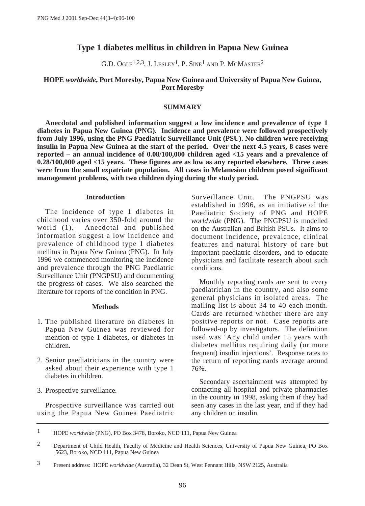# **Type 1 diabetes mellitus in children in Papua New Guinea**

G.D. OGLE<sup>1,2,3</sup>, J. LESLEY<sup>1</sup>, P. SINE<sup>1</sup> AND P. MCMASTER<sup>2</sup>

### **HOPE** *worldwide***, Port Moresby, Papua New Guinea and University of Papua New Guinea, Port Moresby**

### **SUMMARY**

**Anecdotal and published information suggest a low incidence and prevalence of type 1 diabetes in Papua New Guinea (PNG). Incidence and prevalence were followed prospectively from July 1996, using the PNG Paediatric Surveillance Unit (PSU). No children were receiving insulin in Papua New Guinea at the start of the period. Over the next 4.5 years, 8 cases were reported – an annual incidence of 0.08/100,000 children aged <15 years and a prevalence of 0.28/100,000 aged <15 years. These figures are as low as any reported elsewhere. Three cases were from the small expatriate population. All cases in Melanesian children posed significant management problems, with two children dying during the study period.**

### **Introduction**

The incidence of type 1 diabetes in childhood varies over 350-fold around the world (1). Anecdotal and published information suggest a low incidence and prevalence of childhood type 1 diabetes mellitus in Papua New Guinea (PNG). In July 1996 we commenced monitoring the incidence and prevalence through the PNG Paediatric Surveillance Unit (PNGPSU) and documenting the progress of cases. We also searched the literature for reports of the condition in PNG.

### **Methods**

- 1. The published literature on diabetes in Papua New Guinea was reviewed for mention of type 1 diabetes, or diabetes in children.
- 2. Senior paediatricians in the country were asked about their experience with type 1 diabetes in children.
- 3. Prospective surveillance.

Prospective surveillance was carried out using the Papua New Guinea Paediatric

Surveillance Unit. The PNGPSU was established in 1996, as an initiative of the Paediatric Society of PNG and HOPE *worldwide* (PNG). The PNGPSU is modelled on the Australian and British PSUs. It aims to document incidence, prevalence, clinical features and natural history of rare but important paediatric disorders, and to educate physicians and facilitate research about such conditions.

Monthly reporting cards are sent to every paediatrician in the country, and also some general physicians in isolated areas. The mailing list is about 34 to 40 each month. Cards are returned whether there are any positive reports or not. Case reports are followed-up by investigators. The definition used was 'Any child under 15 years with diabetes mellitus requiring daily (or more frequent) insulin injections'. Response rates to the return of reporting cards average around 76%.

Secondary ascertainment was attempted by contacting all hospital and private pharmacies in the country in 1998, asking them if they had seen any cases in the last year, and if they had any children on insulin.

<sup>1</sup> HOPE *worldwide* (PNG), PO Box 3478, Boroko, NCD 111, Papua New Guinea

<sup>2</sup> Department of Child Health, Faculty of Medicine and Health Sciences, University of Papua New Guinea, PO Box 5623, Boroko, NCD 111, Papua New Guinea

<sup>3</sup> Present address: HOPE *worldwide* (Australia), 32 Dean St, West Pennant Hills, NSW 2125, Australia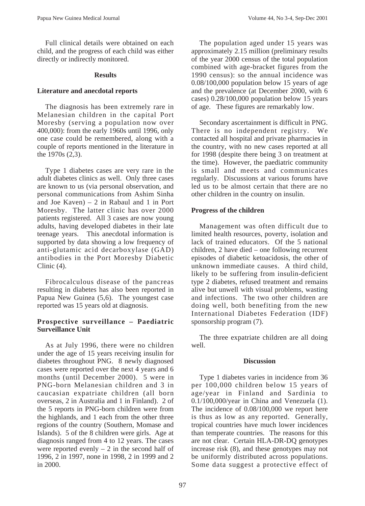Full clinical details were obtained on each child, and the progress of each child was either directly or indirectly monitored.

### **Results**

# **Literature and anecdotal reports**

The diagnosis has been extremely rare in Melanesian children in the capital Port Moresby (serving a population now over 400,000): from the early 1960s until 1996, only one case could be remembered, along with a couple of reports mentioned in the literature in the 1970s (2,3).

Type 1 diabetes cases are very rare in the adult diabetes clinics as well. Only three cases are known to us (via personal observation, and personal communications from Ashim Sinha and Joe Kaven) – 2 in Rabaul and 1 in Port Moresby. The latter clinic has over 2000 patients registered. All 3 cases are now young adults, having developed diabetes in their late teenage years. This anecdotal information is supported by data showing a low frequency of anti-glutamic acid decarboxylase (GAD) antibodies in the Port Moresby Diabetic Clinic (4).

Fibrocalculous disease of the pancreas resulting in diabetes has also been reported in Papua New Guinea (5,6). The youngest case reported was 15 years old at diagnosis.

# **Prospective surveillance – Paediatric Surveillance Unit**

As at July 1996, there were no children under the age of 15 years receiving insulin for diabetes throughout PNG. 8 newly diagnosed cases were reported over the next 4 years and 6 months (until December 2000). 5 were in PNG-born Melanesian children and 3 in caucasian expatriate children (all born overseas, 2 in Australia and 1 in Finland). 2 of the 5 reports in PNG-born children were from the highlands, and 1 each from the other three regions of the country (Southern, Momase and Islands). 5 of the 8 children were girls. Age at diagnosis ranged from 4 to 12 years. The cases were reported evenly  $-2$  in the second half of 1996, 2 in 1997, none in 1998, 2 in 1999 and 2 in 2000.

The population aged under 15 years was approximately 2.15 million (preliminary results of the year 2000 census of the total population combined with age-bracket figures from the 1990 census): so the annual incidence was 0.08/100,000 population below 15 years of age and the prevalence (at December 2000, with 6 cases) 0.28/100,000 population below 15 years of age. These figures are remarkably low.

Secondary ascertainment is difficult in PNG. There is no independent registry. We contacted all hospital and private pharmacies in the country, with no new cases reported at all for 1998 (despite there being 3 on treatment at the time). However, the paediatric community is small and meets and communicates regularly. Discussions at various forums have led us to be almost certain that there are no other children in the country on insulin.

# **Progress of the children**

Management was often difficult due to limited health resources, poverty, isolation and lack of trained educators. Of the 5 national children, 2 have died – one following recurrent episodes of diabetic ketoacidosis, the other of unknown immediate causes. A third child, likely to be suffering from insulin-deficient type 2 diabetes, refused treatment and remains alive but unwell with visual problems, wasting and infections. The two other children are doing well, both benefiting from the new International Diabetes Federation (IDF) sponsorship program (7).

The three expatriate children are all doing well.

# **Discussion**

Type 1 diabetes varies in incidence from 36 per 100,000 children below 15 years of age/year in Finland and Sardinia to 0.1/100,000/year in China and Venezuela (1). The incidence of 0.08/100,000 we report here is thus as low as any reported. Generally, tropical countries have much lower incidences than temperate countries. The reasons for this are not clear. Certain HLA-DR-DQ genotypes increase risk (8), and these genotypes may not be uniformly distributed across populations. Some data suggest a protective effect of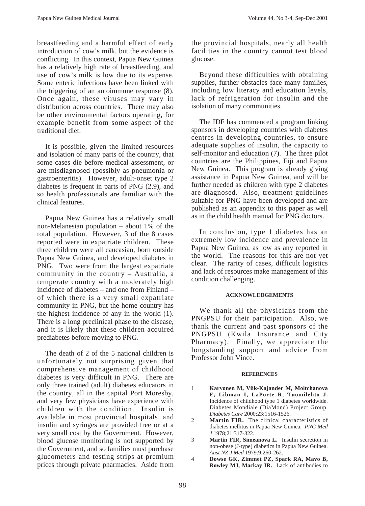breastfeeding and a harmful effect of early introduction of cow's milk, but the evidence is conflicting. In this context, Papua New Guinea has a relatively high rate of breastfeeding, and use of cow's milk is low due to its expense. Some enteric infections have been linked with the triggering of an autoimmune response (8). Once again, these viruses may vary in distribution across countries. There may also be other environmental factors operating, for example benefit from some aspect of the traditional diet.

It is possible, given the limited resources and isolation of many parts of the country, that some cases die before medical assessment, or are misdiagnosed (possibly as pneumonia or gastroenteritis). However, adult-onset type 2 diabetes is frequent in parts of PNG (2,9), and so health professionals are familiar with the clinical features.

Papua New Guinea has a relatively small non-Melanesian population – about 1% of the total population. However, 3 of the 8 cases reported were in expatriate children. These three children were all caucasian, born outside Papua New Guinea, and developed diabetes in PNG. Two were from the largest expatriate community in the country – Australia, a temperate country with a moderately high incidence of diabetes – and one from Finland – of which there is a very small expatriate community in PNG, but the home country has the highest incidence of any in the world (1). There is a long preclinical phase to the disease, and it is likely that these children acquired prediabetes before moving to PNG.

The death of 2 of the 5 national children is unfortunately not surprising given that comprehensive management of childhood diabetes is very difficult in PNG. There are only three trained (adult) diabetes educators in the country, all in the capital Port Moresby, and very few physicians have experience with children with the condition. Insulin is available in most provincial hospitals, and insulin and syringes are provided free or at a very small cost by the Government. However, blood glucose monitoring is not supported by the Government, and so families must purchase glucometers and testing strips at premium prices through private pharmacies. Aside from the provincial hospitals, nearly all health facilities in the country cannot test blood glucose.

Beyond these difficulties with obtaining supplies, further obstacles face many families, including low literacy and education levels, lack of refrigeration for insulin and the isolation of many communities.

The IDF has commenced a program linking sponsors in developing countries with diabetes centres in developing countries, to ensure adequate supplies of insulin, the capacity to self-monitor and education (7). The three pilot countries are the Philippines, Fiji and Papua New Guinea. This program is already giving assistance in Papua New Guinea, and will be further needed as children with type 2 diabetes are diagnosed. Also, treatment guidelines suitable for PNG have been developed and are published as an appendix to this paper as well as in the child health manual for PNG doctors.

In conclusion, type 1 diabetes has an extremely low incidence and prevalence in Papua New Guinea, as low as any reported in the world. The reasons for this are not yet clear. The rarity of cases, difficult logistics and lack of resources make management of this condition challenging.

### **ACKNOWLEDGEMENTS**

We thank all the physicians from the PNGPSU for their participation. Also, we thank the current and past sponsors of the PNGPSU (Kwila Insurance and City Pharmacy). Finally, we appreciate the longstanding support and advice from Professor John Vince.

### **REFERENCES**

- 1 **Karvonen M, Viik-Kajander M, Moltchanova E, Libman I, LaPorte R, Tuomilehto J.** Incidence of childhood type 1 diabetes worldwide. Diabetes Mondiale (DiaMond) Project Group. *Diabetes Care* 2000;23:1516-1526.
- 2 **Martin FIR.** The clinical characteristics of diabetes mellitus in Papua New Guinea. *PNG Med J* 1978;21:317-322.
- 3 **Martin FIR, Simeanova L.** Insulin secretion in non-obese (J-type) diabetics in Papua New Guinea. *Aust NZ J Med* 1979:9:260-262.
- 4 **Dowse GK, Zimmet PZ, Spark RA, Mavo B, Rowley MJ, Mackay IR.** Lack of antibodies to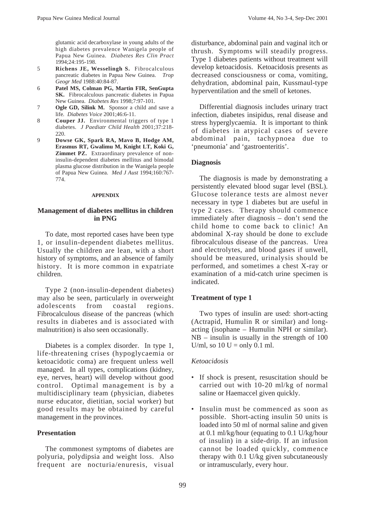glutamic acid decarboxylase in young adults of the high diabetes prevalence Wanigela people of Papua New Guinea. *Diabetes Res Clin Pract* 1994;24:195-198.

- 5 **Richens JE, Wesselingh S.** Fibrocalculous pancreatic diabetes in Papua New Guinea. *Trop Geogr Med* 1988:40:84-87.
- 6 **Patel MS, Colman PG, Martin FIR, SenGupta SK.** Fibrocalculous pancreatic diabetes in Papua New Guinea. *Diabetes Res* 1998;7:97-101.
- 7 **Ogle GD, Silink M.** Sponsor a child and save a life*. Diabetes Voice* 2001;46:6-11.
- 8 **Couper JJ.** Environmental triggers of type 1 diabetes. *J Paediatr Child Health* 2001;37:218- 220.
- 9 **Dowse GK, Spark RA, Mavo B, Hodge AM, Erasmus RT, Gwalimu M, Knight LT, Koki G, Zimmet PZ.** Extraordinary prevalence of noninsulin-dependent diabetes mellitus and bimodal plasma glucose distribution in the Wanigela people of Papua New Guinea. *Med J Aust* 1994;160:767- 774.

#### **APPENDIX**

# **Management of diabetes mellitus in children in PNG**

To date, most reported cases have been type 1, or insulin-dependent diabetes mellitus. Usually the children are lean, with a short history of symptoms, and an absence of family history. It is more common in expatriate children.

Type 2 (non-insulin-dependent diabetes) may also be seen, particularly in overweight adolescents from coastal regions. Fibrocalculous disease of the pancreas (which results in diabetes and is associated with malnutrition) is also seen occasionally.

Diabetes is a complex disorder. In type 1, life-threatening crises (hypoglycaemia or ketoacidotic coma) are frequent unless well managed. In all types, complications (kidney, eye, nerves, heart) will develop without good control. Optimal management is by a multidisciplinary team (physician, diabetes nurse educator, dietitian, social worker) but good results may be obtained by careful management in the provinces.

### **Presentation**

The commonest symptoms of diabetes are polyuria, polydipsia and weight loss. Also frequent are nocturia/enuresis, visual disturbance, abdominal pain and vaginal itch or thrush. Symptoms will steadily progress. Type 1 diabetes patients without treatment will develop ketoacidosis. Ketoacidosis presents as decreased consciousness or coma, vomiting, dehydration, abdominal pain, Kussmaul-type hyperventilation and the smell of ketones.

Differential diagnosis includes urinary tract infection, diabetes insipidus, renal disease and stress hyperglycaemia. It is important to think of diabetes in atypical cases of severe abdominal pain, tachypnoea due to 'pneumonia' and 'gastroenteritis'.

### **Diagnosis**

The diagnosis is made by demonstrating a persistently elevated blood sugar level (BSL). Glucose tolerance tests are almost never necessary in type 1 diabetes but are useful in type 2 cases. Therapy should commence immediately after diagnosis – don't send the child home to come back to clinic! An abdominal X-ray should be done to exclude fibrocalculous disease of the pancreas. Urea and electrolytes, and blood gases if unwell, should be measured, urinalysis should be performed, and sometimes a chest X-ray or examination of a mid-catch urine specimen is indicated.

# **Treatment of type 1**

Two types of insulin are used: short-acting (Actrapid, Humulin R or similar) and longacting (isophane – Humulin NPH or similar). NB – insulin is usually in the strength of 100 U/ml, so  $10 U =$  only 0.1 ml.

### *Ketoacidosis*

- If shock is present, resuscitation should be carried out with 10-20 ml/kg of normal saline or Haemaccel given quickly.
- Insulin must be commenced as soon as possible. Short-acting insulin 50 units is loaded into 50 ml of normal saline and given at 0.1 ml/kg/hour (equating to 0.1 U/kg/hour of insulin) in a side-drip. If an infusion cannot be loaded quickly, commence therapy with 0.1 U/kg given subcutaneously or intramuscularly, every hour.